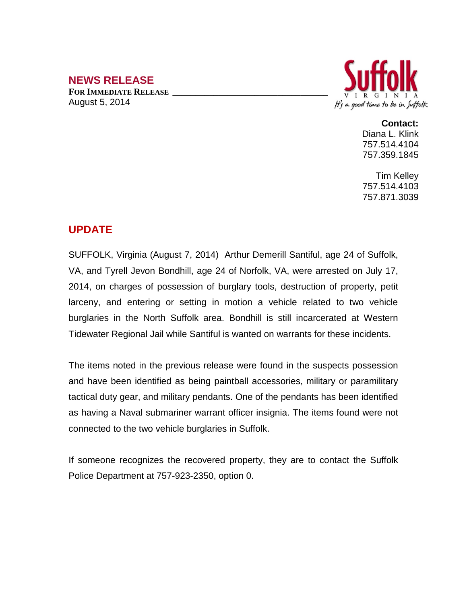## **NEWS RELEASE**

**FOR IMMEDIATE RELEASE \_\_\_\_\_\_\_\_\_\_\_\_\_\_\_\_\_\_\_\_\_\_\_\_\_\_\_\_\_\_\_\_\_\_** August 5, 2014



## **Contact:**

Diana L. Klink 757.514.4104 757.359.1845

Tim Kelley 757.514.4103 757.871.3039

## **UPDATE**

SUFFOLK, Virginia (August 7, 2014) Arthur Demerill Santiful, age 24 of Suffolk, VA, and Tyrell Jevon Bondhill, age 24 of Norfolk, VA, were arrested on July 17, 2014, on charges of possession of burglary tools, destruction of property, petit larceny, and entering or setting in motion a vehicle related to two vehicle burglaries in the North Suffolk area. Bondhill is still incarcerated at Western Tidewater Regional Jail while Santiful is wanted on warrants for these incidents.

The items noted in the previous release were found in the suspects possession and have been identified as being paintball accessories, military or paramilitary tactical duty gear, and military pendants. One of the pendants has been identified as having a Naval submariner warrant officer insignia. The items found were not connected to the two vehicle burglaries in Suffolk.

If someone recognizes the recovered property, they are to contact the Suffolk Police Department at 757-923-2350, option 0.